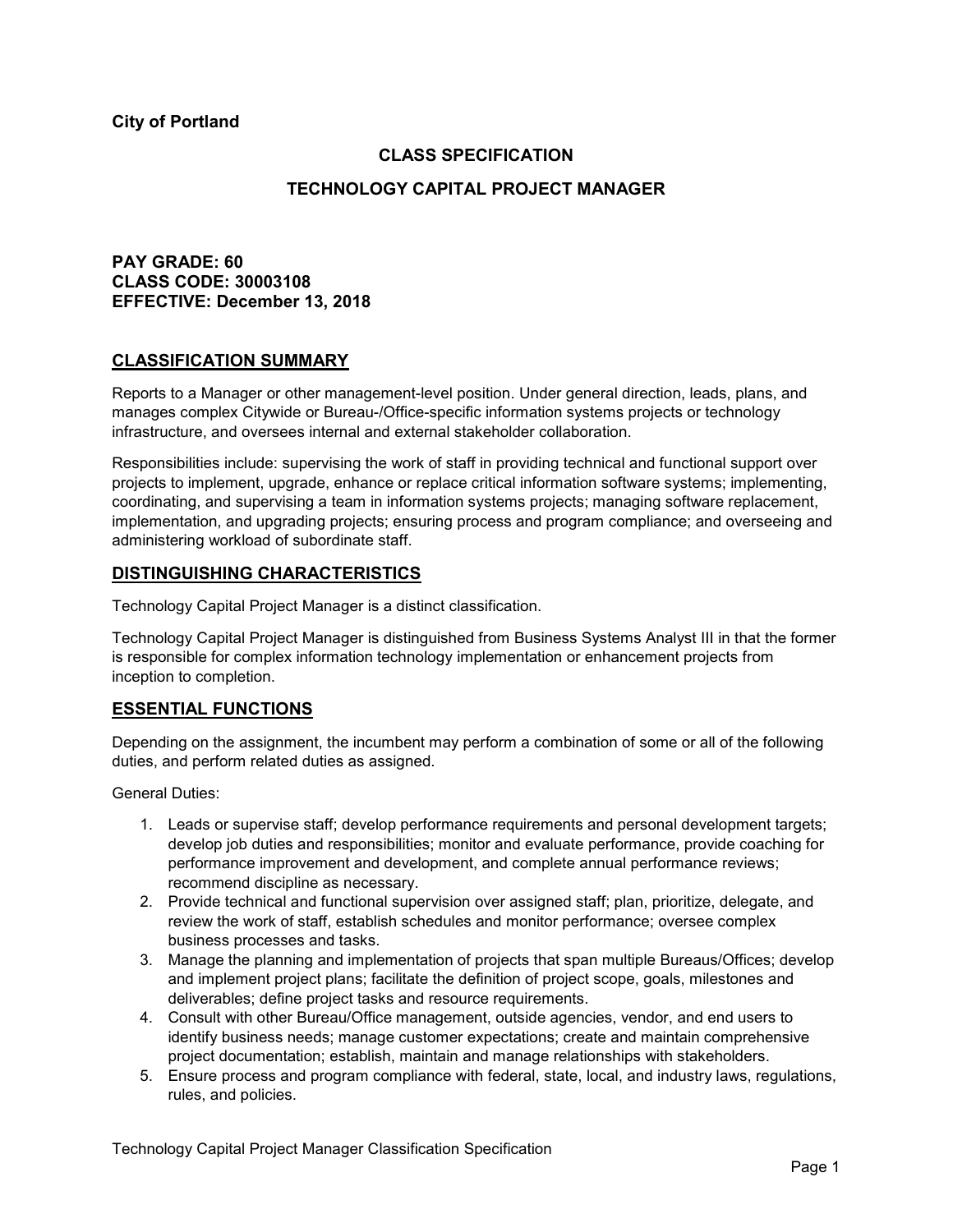**City of Portland**

# **CLASS SPECIFICATION**

## **TECHNOLOGY CAPITAL PROJECT MANAGER**

# **PAY GRADE: 60 CLASS CODE: 30003108 EFFECTIVE: December 13, 2018**

### **CLASSIFICATION SUMMARY**

Reports to a Manager or other management-level position. Under general direction, leads, plans, and manages complex Citywide or Bureau-/Office-specific information systems projects or technology infrastructure, and oversees internal and external stakeholder collaboration.

Responsibilities include: supervising the work of staff in providing technical and functional support over projects to implement, upgrade, enhance or replace critical information software systems; implementing, coordinating, and supervising a team in information systems projects; managing software replacement, implementation, and upgrading projects; ensuring process and program compliance; and overseeing and administering workload of subordinate staff.

### **DISTINGUISHING CHARACTERISTICS**

Technology Capital Project Manager is a distinct classification.

Technology Capital Project Manager is distinguished from Business Systems Analyst III in that the former is responsible for complex information technology implementation or enhancement projects from inception to completion.

## **ESSENTIAL FUNCTIONS**

Depending on the assignment, the incumbent may perform a combination of some or all of the following duties, and perform related duties as assigned.

General Duties:

- 1. Leads or supervise staff; develop performance requirements and personal development targets; develop job duties and responsibilities; monitor and evaluate performance, provide coaching for performance improvement and development, and complete annual performance reviews; recommend discipline as necessary.
- 2. Provide technical and functional supervision over assigned staff; plan, prioritize, delegate, and review the work of staff, establish schedules and monitor performance; oversee complex business processes and tasks.
- 3. Manage the planning and implementation of projects that span multiple Bureaus/Offices; develop and implement project plans; facilitate the definition of project scope, goals, milestones and deliverables; define project tasks and resource requirements.
- 4. Consult with other Bureau/Office management, outside agencies, vendor, and end users to identify business needs; manage customer expectations; create and maintain comprehensive project documentation; establish, maintain and manage relationships with stakeholders.
- 5. Ensure process and program compliance with federal, state, local, and industry laws, regulations, rules, and policies.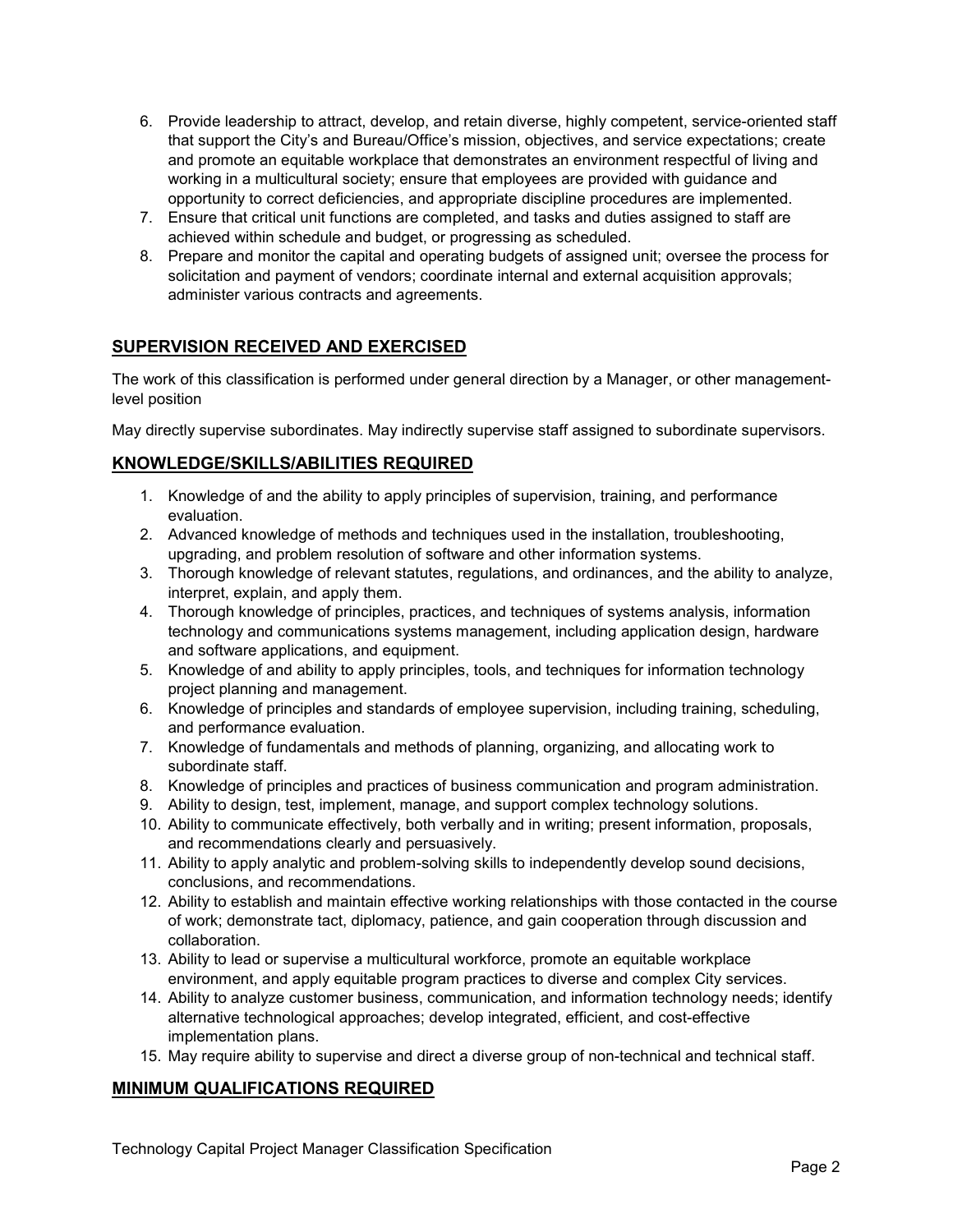- 6. Provide leadership to attract, develop, and retain diverse, highly competent, service-oriented staff that support the City's and Bureau/Office's mission, objectives, and service expectations; create and promote an equitable workplace that demonstrates an environment respectful of living and working in a multicultural society; ensure that employees are provided with guidance and opportunity to correct deficiencies, and appropriate discipline procedures are implemented.
- 7. Ensure that critical unit functions are completed, and tasks and duties assigned to staff are achieved within schedule and budget, or progressing as scheduled.
- 8. Prepare and monitor the capital and operating budgets of assigned unit; oversee the process for solicitation and payment of vendors; coordinate internal and external acquisition approvals; administer various contracts and agreements.

# **SUPERVISION RECEIVED AND EXERCISED**

The work of this classification is performed under general direction by a Manager, or other managementlevel position

May directly supervise subordinates. May indirectly supervise staff assigned to subordinate supervisors.

## **KNOWLEDGE/SKILLS/ABILITIES REQUIRED**

- 1. Knowledge of and the ability to apply principles of supervision, training, and performance evaluation.
- 2. Advanced knowledge of methods and techniques used in the installation, troubleshooting, upgrading, and problem resolution of software and other information systems.
- 3. Thorough knowledge of relevant statutes, regulations, and ordinances, and the ability to analyze, interpret, explain, and apply them.
- 4. Thorough knowledge of principles, practices, and techniques of systems analysis, information technology and communications systems management, including application design, hardware and software applications, and equipment.
- 5. Knowledge of and ability to apply principles, tools, and techniques for information technology project planning and management.
- 6. Knowledge of principles and standards of employee supervision, including training, scheduling, and performance evaluation.
- 7. Knowledge of fundamentals and methods of planning, organizing, and allocating work to subordinate staff.
- 8. Knowledge of principles and practices of business communication and program administration.
- 9. Ability to design, test, implement, manage, and support complex technology solutions.
- 10. Ability to communicate effectively, both verbally and in writing; present information, proposals, and recommendations clearly and persuasively.
- 11. Ability to apply analytic and problem-solving skills to independently develop sound decisions, conclusions, and recommendations.
- 12. Ability to establish and maintain effective working relationships with those contacted in the course of work; demonstrate tact, diplomacy, patience, and gain cooperation through discussion and collaboration.
- 13. Ability to lead or supervise a multicultural workforce, promote an equitable workplace environment, and apply equitable program practices to diverse and complex City services.
- 14. Ability to analyze customer business, communication, and information technology needs; identify alternative technological approaches; develop integrated, efficient, and cost-effective implementation plans.
- 15. May require ability to supervise and direct a diverse group of non-technical and technical staff.

## **MINIMUM QUALIFICATIONS REQUIRED**